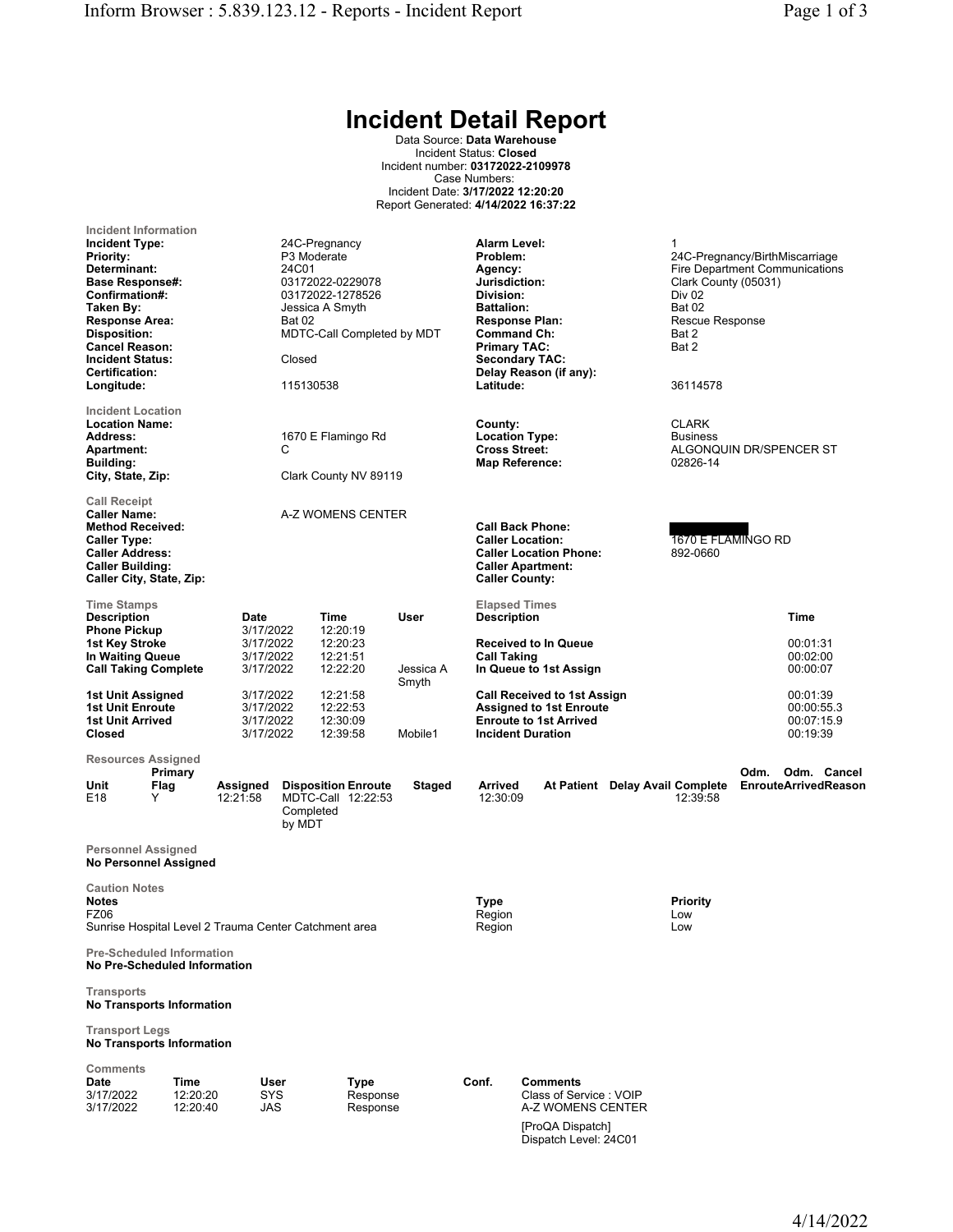## Incident Detail Report

Data Source: Data Warehouse Incident Status: Closed Incident number: 03172022-2109978 Case Numbers: Incident Date: 3/17/2022 12:20:20 Report Generated: 4/14/2022 16:37:22

| Incident Information<br><b>Incident Type:</b><br><b>Priority:</b><br>Determinant:<br><b>Base Response#:</b><br>Confirmation#:<br>Taken By:<br><b>Response Area:</b><br><b>Disposition:</b><br><b>Cancel Reason:</b><br><b>Incident Status:</b><br>Certification:<br>Longitude: |                              |                                                          | 24C-Pregnancy<br>P <sub>3</sub> Moderate<br>24C01<br>Jessica A Smyth<br><b>Bat 02</b><br>Closed<br>115130538 | 03172022-0229078<br>03172022-1278526<br>MDTC-Call Completed by MDT |                                 | Alarm Level:<br>Problem:<br>Agency:<br>Jurisdiction:<br>Division:<br><b>Battalion:</b><br><b>Command Ch:</b><br><b>Primary TAC:</b><br>Latitude: | <b>Response Plan:</b><br><b>Secondary TAC:</b><br>Delay Reason (if any):                                                          |                                 | 1<br>24C-Pregnancy/BirthMiscarriage<br><b>Fire Department Communications</b><br>Clark County (05031)<br><b>Div 02</b><br><b>Bat 02</b><br>Rescue Response<br>Bat 2<br>Bat 2<br>36114578 |                                     |                                                  |             |
|--------------------------------------------------------------------------------------------------------------------------------------------------------------------------------------------------------------------------------------------------------------------------------|------------------------------|----------------------------------------------------------|--------------------------------------------------------------------------------------------------------------|--------------------------------------------------------------------|---------------------------------|--------------------------------------------------------------------------------------------------------------------------------------------------|-----------------------------------------------------------------------------------------------------------------------------------|---------------------------------|-----------------------------------------------------------------------------------------------------------------------------------------------------------------------------------------|-------------------------------------|--------------------------------------------------|-------------|
| <b>Incident Location</b><br><b>Location Name:</b><br><b>Address:</b><br><b>Apartment:</b><br><b>Building:</b><br>City, State, Zip:                                                                                                                                             |                              |                                                          | С                                                                                                            | 1670 E Flamingo Rd<br>Clark County NV 89119                        |                                 | County:<br><b>Location Type:</b><br><b>Cross Street:</b>                                                                                         | <b>Map Reference:</b>                                                                                                             |                                 | <b>CLARK</b><br><b>Business</b><br>ALGONQUIN DR/SPENCER ST<br>02826-14                                                                                                                  |                                     |                                                  |             |
| <b>Call Receipt</b><br><b>Caller Name:</b><br><b>Method Received:</b><br><b>Caller Type:</b><br><b>Caller Address:</b><br><b>Caller Building:</b><br>Caller City, State, Zip:                                                                                                  |                              |                                                          |                                                                                                              | A-Z WOMENS CENTER                                                  |                                 | <b>Caller County:</b>                                                                                                                            | <b>Call Back Phone:</b><br><b>Caller Location:</b><br><b>Caller Location Phone:</b><br><b>Caller Apartment:</b>                   |                                 | 1670 E FLAMINGO RD<br>892-0660                                                                                                                                                          |                                     |                                                  |             |
| <b>Time Stamps</b><br><b>Description</b><br><b>Phone Pickup</b><br>1st Key Stroke<br>In Waiting Queue<br><b>Call Taking Complete</b>                                                                                                                                           |                              | Date<br>3/17/2022<br>3/17/2022<br>3/17/2022<br>3/17/2022 |                                                                                                              | Time<br>12:20:19<br>12:20:23<br>12:21:51<br>12:22:20               | <b>User</b><br>Jessica A        | <b>Elapsed Times</b><br><b>Description</b><br><b>Call Taking</b>                                                                                 | <b>Received to In Queue</b><br>In Queue to 1st Assign                                                                             |                                 |                                                                                                                                                                                         |                                     | <b>Time</b><br>00:01:31<br>00:02:00<br>00:00:07  |             |
| 1st Unit Assigned<br><b>1st Unit Enroute</b><br><b>1st Unit Arrived</b><br>Closed                                                                                                                                                                                              |                              | 3/17/2022<br>3/17/2022<br>3/17/2022<br>3/17/2022         |                                                                                                              | 12:21:58<br>12:22:53<br>12:30:09<br>12:39:58                       | Smyth<br>Mobile1                |                                                                                                                                                  | <b>Call Received to 1st Assign</b><br><b>Assigned to 1st Enroute</b><br><b>Enroute to 1st Arrived</b><br><b>Incident Duration</b> |                                 |                                                                                                                                                                                         |                                     | 00:01:39<br>00:00:55.3<br>00:07:15.9<br>00:19:39 |             |
| <b>Resources Assigned</b><br>Unit<br>E18                                                                                                                                                                                                                                       | Primary<br>Flag<br>Y         | Assigned<br>12:21:58                                     | Completed<br>by MDT                                                                                          | <b>Disposition Enroute</b><br>MDTC-Call 12:22:53                   | <b>Staged</b>                   | Arrived<br>12:30:09                                                                                                                              |                                                                                                                                   | At Patient Delay Avail Complete | 12:39:58                                                                                                                                                                                | Odm.<br><b>EnrouteArrivedReason</b> |                                                  | Odm. Cancel |
| <b>Personnel Assigned</b><br><b>No Personnel Assigned</b>                                                                                                                                                                                                                      |                              |                                                          |                                                                                                              |                                                                    |                                 |                                                                                                                                                  |                                                                                                                                   |                                 |                                                                                                                                                                                         |                                     |                                                  |             |
| <b>Caution Notes</b><br><b>Notes</b><br>FZ06<br>Sunrise Hospital Level 2 Trauma Center Catchment area                                                                                                                                                                          |                              |                                                          |                                                                                                              |                                                                    | <b>Type</b><br>Region<br>Region |                                                                                                                                                  |                                                                                                                                   | <b>Priority</b><br>Low<br>Low   |                                                                                                                                                                                         |                                     |                                                  |             |
| <b>Pre-Scheduled Information</b><br>No Pre-Scheduled Information                                                                                                                                                                                                               |                              |                                                          |                                                                                                              |                                                                    |                                 |                                                                                                                                                  |                                                                                                                                   |                                 |                                                                                                                                                                                         |                                     |                                                  |             |
| <b>Transports</b><br><b>No Transports Information</b>                                                                                                                                                                                                                          |                              |                                                          |                                                                                                              |                                                                    |                                 |                                                                                                                                                  |                                                                                                                                   |                                 |                                                                                                                                                                                         |                                     |                                                  |             |
| <b>Transport Legs</b><br>No Transports Information                                                                                                                                                                                                                             |                              |                                                          |                                                                                                              |                                                                    |                                 |                                                                                                                                                  |                                                                                                                                   |                                 |                                                                                                                                                                                         |                                     |                                                  |             |
| <b>Comments</b><br>Date<br>3/17/2022<br>3/17/2022                                                                                                                                                                                                                              | Time<br>12:20:20<br>12:20:40 | SYS<br>JAS                                               | <b>User</b>                                                                                                  | Type<br>Response<br>Response                                       |                                 | Conf.                                                                                                                                            | <b>Comments</b><br>Class of Service: VOIP<br>A-Z WOMENS CENTER                                                                    |                                 |                                                                                                                                                                                         |                                     |                                                  |             |
|                                                                                                                                                                                                                                                                                |                              |                                                          |                                                                                                              |                                                                    |                                 |                                                                                                                                                  | [ProQA Dispatch]<br>Dispatch Level: 24C01                                                                                         |                                 |                                                                                                                                                                                         |                                     |                                                  |             |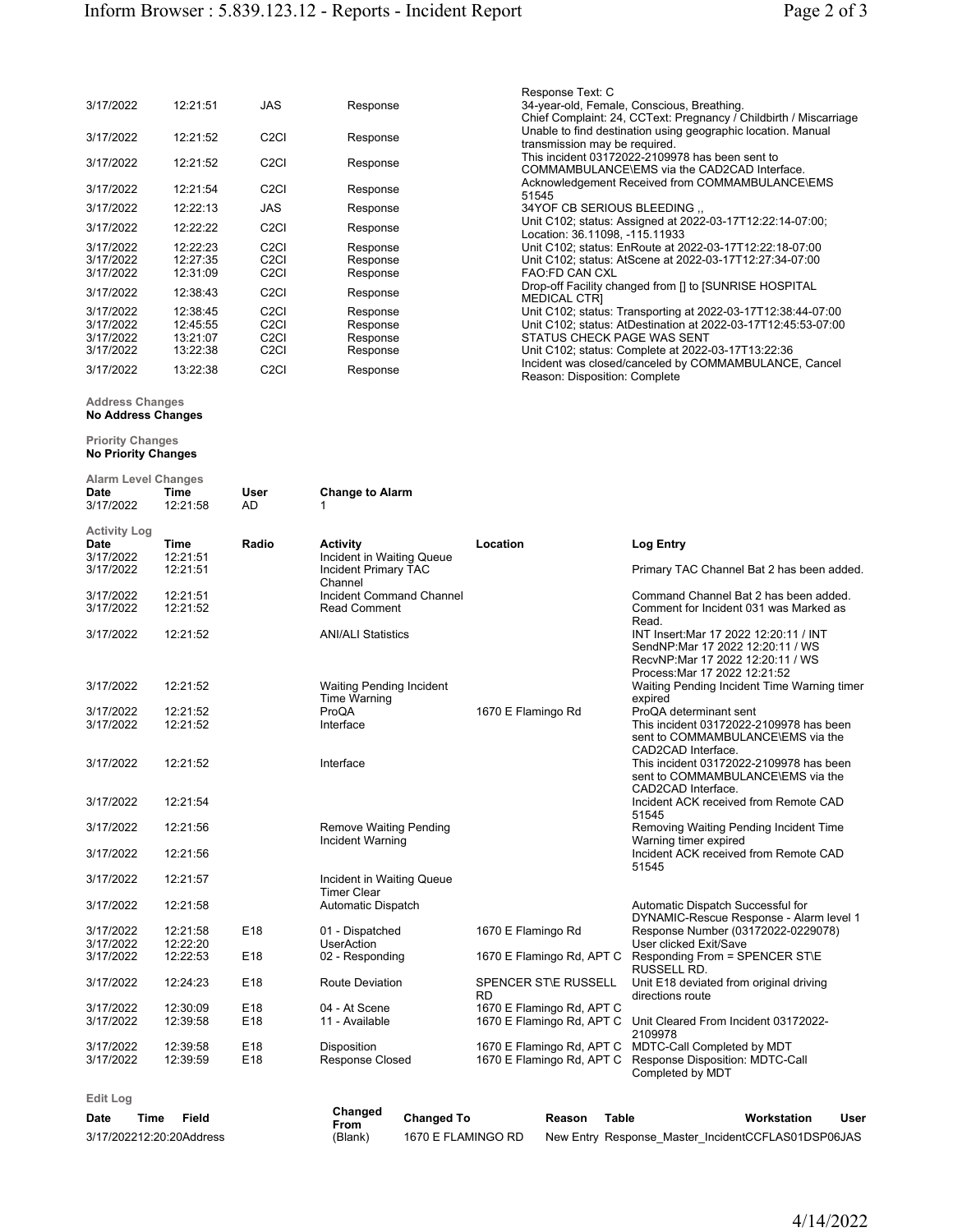| 3/17/2022 | 12:21:51 | <b>JAS</b>                    | Response | Response Text: C<br>34-year-old, Female, Conscious, Breathing.<br>Chief Complaint: 24, CCText: Pregnancy / Childbirth / Miscarriage |
|-----------|----------|-------------------------------|----------|-------------------------------------------------------------------------------------------------------------------------------------|
| 3/17/2022 | 12:21:52 | C <sub>2</sub> C <sub>I</sub> | Response | Unable to find destination using geographic location. Manual<br>transmission may be required.                                       |
| 3/17/2022 | 12:21:52 | C <sub>2</sub> C <sub>I</sub> | Response | This incident 03172022-2109978 has been sent to<br>COMMAMBULANCE\EMS via the CAD2CAD Interface.                                     |
| 3/17/2022 | 12:21:54 | C <sub>2</sub> C <sub>I</sub> | Response | Acknowledgement Received from COMMAMBULANCE\EMS<br>51545                                                                            |
| 3/17/2022 | 12:22:13 | <b>JAS</b>                    | Response | 34YOF CB SERIOUS BLEEDING                                                                                                           |
| 3/17/2022 | 12:22:22 | C <sub>2</sub> C <sub>I</sub> | Response | Unit C102; status: Assigned at 2022-03-17T12:22:14-07:00;<br>Location: 36.11098, -115.11933                                         |
| 3/17/2022 | 12:22:23 | C <sub>2</sub> C <sub>I</sub> | Response | Unit C102; status: EnRoute at 2022-03-17T12:22:18-07:00                                                                             |
| 3/17/2022 | 12:27:35 | C <sub>2</sub> C <sub>I</sub> | Response | Unit C102; status: AtScene at 2022-03-17T12:27:34-07:00                                                                             |
| 3/17/2022 | 12:31:09 | C <sub>2</sub> C <sub>I</sub> | Response | <b>FAO:FD CAN CXL</b>                                                                                                               |
| 3/17/2022 | 12:38:43 | C <sub>2</sub> C <sub>I</sub> | Response | Drop-off Facility changed from [] to [SUNRISE HOSPITAL<br><b>MEDICAL CTRI</b>                                                       |
| 3/17/2022 | 12:38:45 | C <sub>2</sub> CI             | Response | Unit C102; status: Transporting at 2022-03-17T12:38:44-07:00                                                                        |
| 3/17/2022 | 12:45:55 | C <sub>2</sub> C <sub>I</sub> | Response | Unit C102; status: AtDestination at 2022-03-17T12:45:53-07:00                                                                       |
| 3/17/2022 | 13:21:07 | C <sub>2</sub> C <sub>I</sub> | Response | STATUS CHECK PAGE WAS SENT                                                                                                          |
| 3/17/2022 | 13:22:38 | C <sub>2</sub> C <sub>I</sub> | Response | Unit C102; status: Complete at 2022-03-17T13:22:36                                                                                  |
| 3/17/2022 | 13:22:38 | C <sub>2</sub> C <sub>I</sub> | Response | Incident was closed/canceled by COMMAMBULANCE, Cancel<br>Reason: Disposition: Complete                                              |

## Address Changes No Address Changes

## Priority Changes

No Priority Changes

| <b>Alarm Level Changes</b> |                  |                 |                                        |                                          |                                                                               |
|----------------------------|------------------|-----------------|----------------------------------------|------------------------------------------|-------------------------------------------------------------------------------|
| Date<br>3/17/2022          | Time<br>12:21:58 | User<br>AD      | <b>Change to Alarm</b><br>1            |                                          |                                                                               |
| Activity Log               |                  |                 |                                        |                                          |                                                                               |
| Date                       | <b>Time</b>      | Radio           | Activity                               | Location                                 | <b>Log Entry</b>                                                              |
| 3/17/2022                  | 12:21:51         |                 | Incident in Waiting Queue              |                                          |                                                                               |
| 3/17/2022                  | 12:21:51         |                 | <b>Incident Primary TAC</b><br>Channel |                                          | Primary TAC Channel Bat 2 has been added.                                     |
| 3/17/2022                  | 12:21:51         |                 | <b>Incident Command Channel</b>        |                                          | Command Channel Bat 2 has been added.                                         |
| 3/17/2022                  | 12:21:52         |                 | <b>Read Comment</b>                    |                                          | Comment for Incident 031 was Marked as                                        |
|                            |                  |                 |                                        |                                          | Read.                                                                         |
| 3/17/2022                  | 12:21:52         |                 | <b>ANI/ALI Statistics</b>              |                                          | INT Insert: Mar 17 2022 12:20:11 / INT                                        |
|                            |                  |                 |                                        |                                          | SendNP:Mar 17 2022 12:20:11 / WS                                              |
|                            |                  |                 |                                        |                                          | RecvNP:Mar 17 2022 12:20:11 / WS<br>Process: Mar 17 2022 12:21:52             |
| 3/17/2022                  | 12:21:52         |                 | <b>Waiting Pending Incident</b>        |                                          | Waiting Pending Incident Time Warning timer                                   |
|                            |                  |                 | <b>Time Warning</b>                    |                                          | expired                                                                       |
| 3/17/2022                  | 12:21:52         |                 | ProQA                                  | 1670 E Flamingo Rd                       | ProQA determinant sent                                                        |
| 3/17/2022                  | 12:21:52         |                 | Interface                              |                                          | This incident 03172022-2109978 has been                                       |
|                            |                  |                 |                                        |                                          | sent to COMMAMBULANCE\EMS via the<br>CAD2CAD Interface.                       |
| 3/17/2022                  | 12:21:52         |                 | Interface                              |                                          | This incident 03172022-2109978 has been                                       |
|                            |                  |                 |                                        |                                          | sent to COMMAMBULANCE\EMS via the                                             |
|                            |                  |                 |                                        |                                          | CAD2CAD Interface.                                                            |
| 3/17/2022                  | 12:21:54         |                 |                                        |                                          | Incident ACK received from Remote CAD                                         |
| 3/17/2022                  | 12:21:56         |                 | <b>Remove Waiting Pending</b>          |                                          | 51545<br>Removing Waiting Pending Incident Time                               |
|                            |                  |                 | Incident Warning                       |                                          | Warning timer expired                                                         |
| 3/17/2022                  | 12:21:56         |                 |                                        |                                          | Incident ACK received from Remote CAD                                         |
|                            |                  |                 |                                        |                                          | 51545                                                                         |
| 3/17/2022                  | 12:21:57         |                 | Incident in Waiting Queue              |                                          |                                                                               |
|                            |                  |                 | <b>Timer Clear</b>                     |                                          |                                                                               |
| 3/17/2022                  | 12:21:58         |                 | Automatic Dispatch                     |                                          | Automatic Dispatch Successful for<br>DYNAMIC-Rescue Response - Alarm level 1  |
| 3/17/2022                  | 12:21:58         | E18             | 01 - Dispatched                        | 1670 E Flamingo Rd                       | Response Number (03172022-0229078)                                            |
| 3/17/2022                  | 12:22:20         |                 | <b>UserAction</b>                      |                                          | User clicked Exit/Save                                                        |
| 3/17/2022                  | 12:22:53         | E <sub>18</sub> | 02 - Responding                        | 1670 E Flamingo Rd, APT C                | Responding From = SPENCER ST\E                                                |
|                            |                  |                 |                                        |                                          | RUSSELL RD.                                                                   |
| 3/17/2022                  | 12:24:23         | E18             | <b>Route Deviation</b>                 | <b>SPENCER STIE RUSSELL</b><br><b>RD</b> | Unit E18 deviated from original driving<br>directions route                   |
| 3/17/2022                  | 12:30:09         | E18             | 04 - At Scene                          | 1670 E Flamingo Rd, APT C                |                                                                               |
| 3/17/2022                  | 12:39:58         | E18             | 11 - Available                         | 1670 E Flamingo Rd, APT C                | Unit Cleared From Incident 03172022-                                          |
|                            |                  |                 |                                        |                                          | 2109978                                                                       |
| 3/17/2022                  | 12:39:58         | E18             | Disposition                            |                                          | 1670 E Flamingo Rd, APT C MDTC-Call Completed by MDT                          |
| 3/17/2022                  | 12:39:59         | E18             | <b>Response Closed</b>                 |                                          | 1670 E Flamingo Rd, APT C Response Disposition: MDTC-Call<br>Completed by MDT |
|                            |                  |                 |                                        |                                          |                                                                               |
| <b>Edit Log</b>            |                  |                 |                                        |                                          |                                                                               |

Date Time Field 3/17/202212:20:20Address

| Changed<br>From<br>(Blank) | <b>Changed To</b>  | Reason | Table                                              | Workstation | User |
|----------------------------|--------------------|--------|----------------------------------------------------|-------------|------|
|                            | 1670 E FLAMINGO RD |        | New Entry Response Master IncidentCCFLAS01DSP06JAS |             |      |